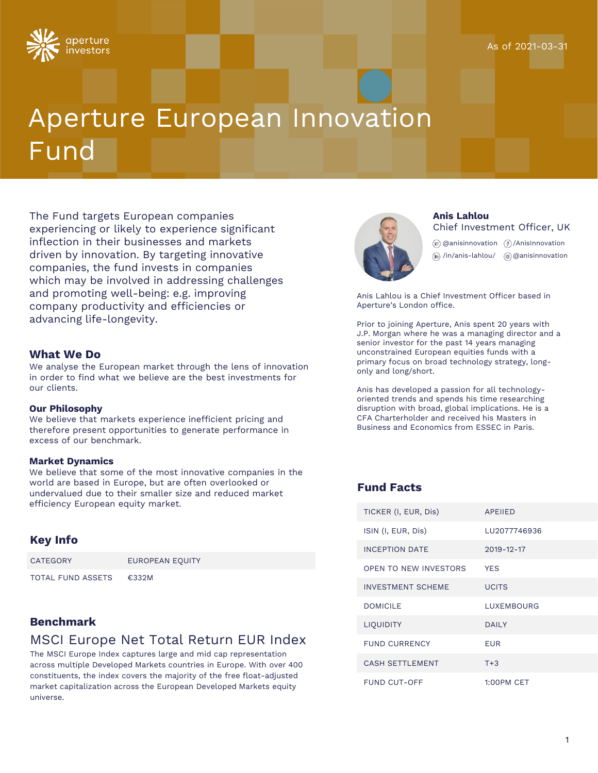

# Aperture European Innovation Fund

The Fund targets European companies experiencing or likely to experience significant inflection in their businesses and markets driven by innovation. By targeting innovative companies, the fund invests in companies which may be involved in addressing challenges and promoting well-being: e.g. improving company productivity and efficiencies or advancing life-longevity.

#### **What We Do**

We analyse the European market through the lens of innovation in order to find what we believe are the best investments for our clients.

#### **Our Philosophy**

We believe that markets experience inefficient pricing and therefore present opportunities to generate performance in excess of our benchmark.

#### **Market Dynamics**

We believe that some of the most innovative companies in the world are based in Europe, but are often overlooked or undervalued due to their smaller size and reduced market efficiency European equity market.

#### **Key Info**

| CATEGORY          | EUROPEAN EQUITY |
|-------------------|-----------------|
| TOTAL FUND ASSETS | €332M           |

## **Benchmark**

# MSCI Europe Net Total Return EUR Index

The MSCI Europe Index captures large and mid cap representation across multiple Developed Markets countries in Europe. With over 400 constituents, the index covers the majority of the free float-adjusted market capitalization across the European Developed Markets equity universe.



#### **Anis Lahlou** Chief Investment Officer, UK

@anisinnovation /AnisInnovation /in/anis-lahlou/ @anisinnovation

Anis Lahlou is a Chief Investment Officer based in Aperture's London office.

Prior to joining Aperture, Anis spent 20 years with J.P. Morgan where he was a managing director and a senior investor for the past 14 years managing unconstrained European equities funds with a primary focus on broad technology strategy, longonly and long/short.

Anis has developed a passion for all technologyoriented trends and spends his time researching disruption with broad, global implications. He is a CFA Charterholder and received his Masters in Business and Economics from ESSEC in Paris.

#### **Fund Facts**

| TICKER (I, EUR, Dis)     | <b>APFIIFD</b>    |
|--------------------------|-------------------|
| ISIN (I, EUR, Dis)       | LU2077746936      |
| <b>INCEPTION DATE</b>    | $2019 - 12 - 17$  |
| OPEN TO NEW INVESTORS    | <b>YFS</b>        |
| <b>INVESTMENT SCHEME</b> | UCITS             |
| DOMICII F                | <b>LUXEMBOURG</b> |
| <b>LIQUIDITY</b>         | <b>DAILY</b>      |
| <b>FUND CURRENCY</b>     | FUR               |
| <b>CASH SETTLEMENT</b>   | $T + 3$           |
| FUND CUT-OFF             | <b>1:00PM CET</b> |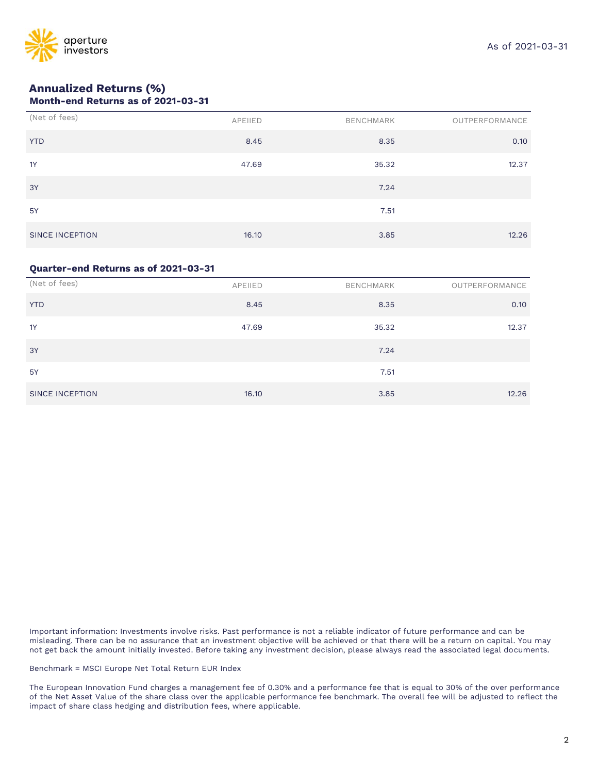

# **Annualized Returns (%)**

| Month-end Returns as of 2021-03-31 |  |  |  |  |  |
|------------------------------------|--|--|--|--|--|
|------------------------------------|--|--|--|--|--|

| (Net of fees)   | APEIIED | BENCHMARK | OUTPERFORMANCE |
|-----------------|---------|-----------|----------------|
| <b>YTD</b>      | 8.45    | 8.35      | 0.10           |
| 1Y              | 47.69   | 35.32     | 12.37          |
| 3Y              |         | 7.24      |                |
| <b>5Y</b>       |         | 7.51      |                |
| SINCE INCEPTION | 16.10   | 3.85      | 12.26          |

#### **Quarter-end Returns as of 2021-03-31**

| (Net of fees)   | APEIIED | BENCHMARK | OUTPERFORMANCE |
|-----------------|---------|-----------|----------------|
| <b>YTD</b>      | 8.45    | 8.35      | 0.10           |
| 1Y              | 47.69   | 35.32     | 12.37          |
| 3Y              |         | 7.24      |                |
| 5Y              |         | 7.51      |                |
| SINCE INCEPTION | 16.10   | 3.85      | 12.26          |

Important information: Investments involve risks. Past performance is not a reliable indicator of future performance and can be misleading. There can be no assurance that an investment objective will be achieved or that there will be a return on capital. You may not get back the amount initially invested. Before taking any investment decision, please always read the associated legal documents.

Benchmark = MSCI Europe Net Total Return EUR Index

The European Innovation Fund charges a management fee of 0.30% and a performance fee that is equal to 30% of the over performance of the Net Asset Value of the share class over the applicable performance fee benchmark. The overall fee will be adjusted to reflect the impact of share class hedging and distribution fees, where applicable.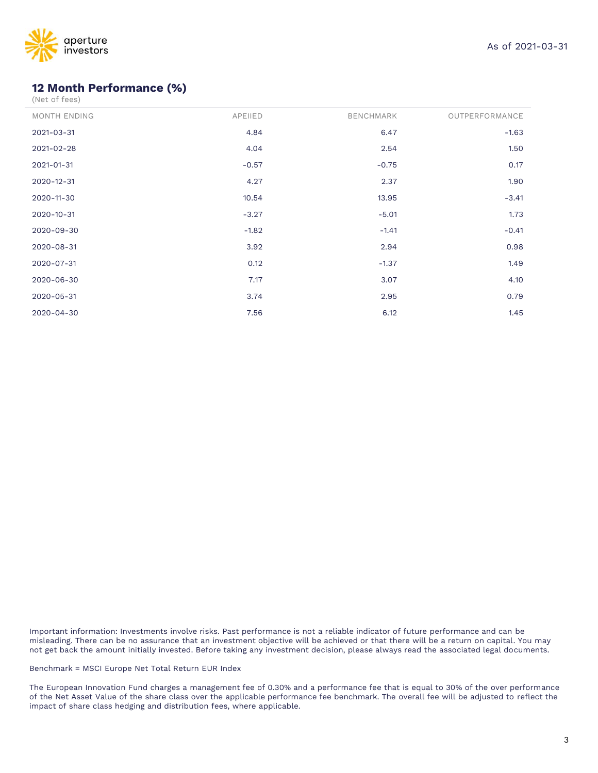

# **12 Month Performance (%)**

J.

| <b>MONTH ENDING</b> | APEIIED | <b>BENCHMARK</b> | OUTPERFORMANCE |
|---------------------|---------|------------------|----------------|
| 2021-03-31          | 4.84    | 6.47             | $-1.63$        |
| 2021-02-28          | 4.04    | 2.54             | 1.50           |
| 2021-01-31          | $-0.57$ | $-0.75$          | 0.17           |
| 2020-12-31          | 4.27    | 2.37             | 1.90           |
| 2020-11-30          | 10.54   | 13.95            | $-3.41$        |
| $2020 - 10 - 31$    | $-3.27$ | $-5.01$          | 1.73           |
| 2020-09-30          | $-1.82$ | $-1.41$          | $-0.41$        |
| 2020-08-31          | 3.92    | 2.94             | 0.98           |
| 2020-07-31          | 0.12    | $-1.37$          | 1.49           |
| 2020-06-30          | 7.17    | 3.07             | 4.10           |
| 2020-05-31          | 3.74    | 2.95             | 0.79           |
| 2020-04-30          | 7.56    | 6.12             | 1.45           |

Important information: Investments involve risks. Past performance is not a reliable indicator of future performance and can be misleading. There can be no assurance that an investment objective will be achieved or that there will be a return on capital. You may not get back the amount initially invested. Before taking any investment decision, please always read the associated legal documents.

Benchmark = MSCI Europe Net Total Return EUR Index

The European Innovation Fund charges a management fee of 0.30% and a performance fee that is equal to 30% of the over performance of the Net Asset Value of the share class over the applicable performance fee benchmark. The overall fee will be adjusted to reflect the impact of share class hedging and distribution fees, where applicable.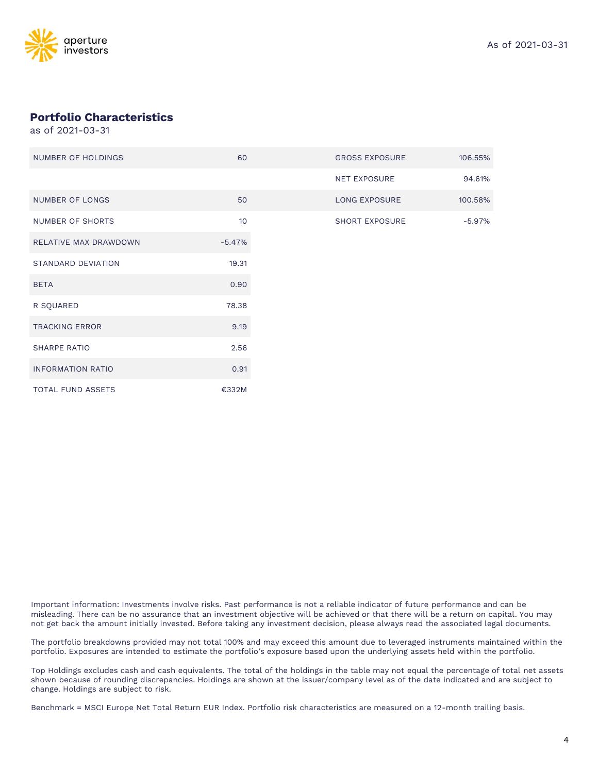

## **Portfolio Characteristics**

as of 2021-03-31

| NUMBER OF HOLDINGS        | 60       |
|---------------------------|----------|
|                           |          |
| <b>NUMBER OF LONGS</b>    | 50       |
| <b>NUMBER OF SHORTS</b>   | 10       |
| RELATIVE MAX DRAWDOWN     | $-5.47%$ |
| <b>STANDARD DEVIATION</b> | 19.31    |
| <b>BETA</b>               | 0.90     |
| R SQUARED                 | 78.38    |
| <b>TRACKING ERROR</b>     | 9.19     |
| <b>SHARPE RATIO</b>       | 2.56     |
| <b>INFORMATION RATIO</b>  | 0.91     |
| TOTAL FUND ASSETS         | €332M    |

Important information: Investments involve risks. Past performance is not a reliable indicator of future performance and can be misleading. There can be no assurance that an investment objective will be achieved or that there will be a return on capital. You may not get back the amount initially invested. Before taking any investment decision, please always read the associated legal documents.

The portfolio breakdowns provided may not total 100% and may exceed this amount due to leveraged instruments maintained within the portfolio. Exposures are intended to estimate the portfolio's exposure based upon the underlying assets held within the portfolio.

Top Holdings excludes cash and cash equivalents. The total of the holdings in the table may not equal the percentage of total net assets shown because of rounding discrepancies. Holdings are shown at the issuer/company level as of the date indicated and are subject to change. Holdings are subject to risk.

Benchmark = MSCI Europe Net Total Return EUR Index. Portfolio risk characteristics are measured on a 12-month trailing basis.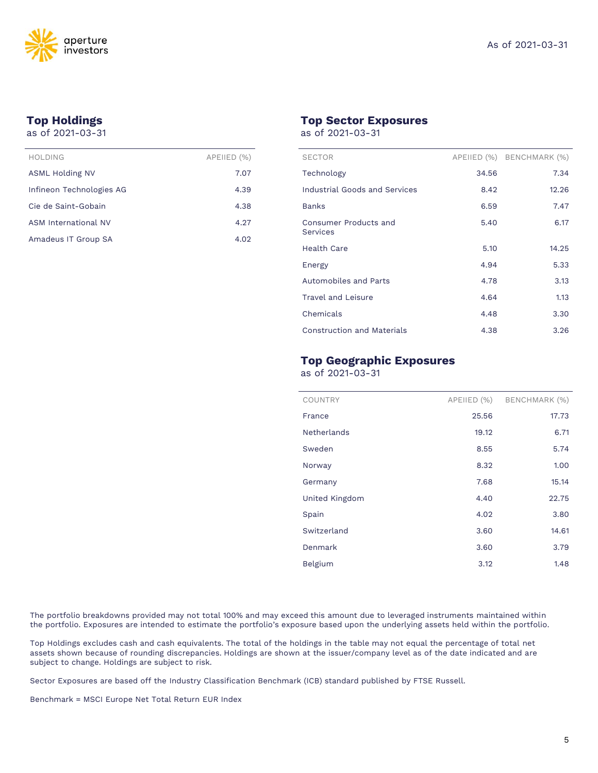

# **Top Holdings**

as of 2021-03-31

| HOLDING                  | APEIIED (%) |
|--------------------------|-------------|
| ASML Holding NV          | 7.07        |
| Infineon Technologies AG | 4.39        |
| Cie de Saint-Gobain      | 4.38        |
| ASM International NV     | 4.27        |
| Amadeus IT Group SA      | 4.02        |

#### **Top Sector Exposures**

as of 2021-03-31

| <b>SECTOR</b>                            |       | APEIIED (%) BENCHMARK (%) |
|------------------------------------------|-------|---------------------------|
| Technology                               | 34.56 | 7.34                      |
| Industrial Goods and Services            | 8.42  | 12.26                     |
| <b>Banks</b>                             | 6.59  | 7.47                      |
| Consumer Products and<br><b>Services</b> | 5.40  | 6.17                      |
| Health Care                              | 5.10  | 14.25                     |
| Energy                                   | 4.94  | 5.33                      |
| Automobiles and Parts                    | 4.78  | 3.13                      |
| <b>Travel and Leisure</b>                | 4.64  | 1.13                      |
| Chemicals                                | 4.48  | 3.30                      |
| <b>Construction and Materials</b>        | 4.38  | 3.26                      |

## **Top Geographic Exposures**

as of 2021-03-31

| COUNTRY            | APEIIED (%) | BENCHMARK (%) |
|--------------------|-------------|---------------|
| France             | 25.56       | 17.73         |
| <b>Netherlands</b> | 19.12       | 6.71          |
| Sweden             | 8.55        | 5.74          |
| Norway             | 8.32        | 1.00          |
| Germany            | 7.68        | 15.14         |
| United Kingdom     | 4.40        | 22.75         |
| Spain              | 4.02        | 3.80          |
| Switzerland        | 3.60        | 14.61         |
| Denmark            | 3.60        | 3.79          |
| <b>Belgium</b>     | 3.12        | 1.48          |
|                    |             |               |

The portfolio breakdowns provided may not total 100% and may exceed this amount due to leveraged instruments maintained within the portfolio. Exposures are intended to estimate the portfolio's exposure based upon the underlying assets held within the portfolio.

Top Holdings excludes cash and cash equivalents. The total of the holdings in the table may not equal the percentage of total net assets shown because of rounding discrepancies. Holdings are shown at the issuer/company level as of the date indicated and are subject to change. Holdings are subject to risk.

Sector Exposures are based off the Industry Classification Benchmark (ICB) standard published by FTSE Russell.

Benchmark = MSCI Europe Net Total Return EUR Index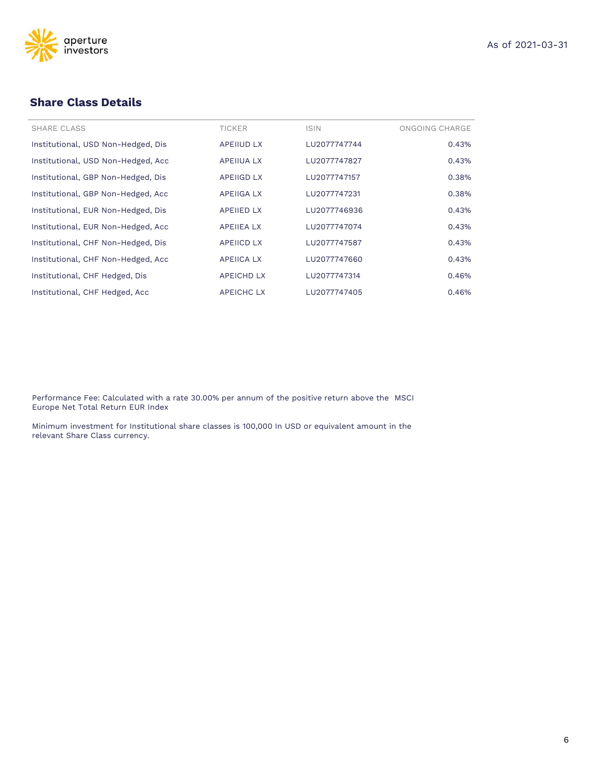



## **Share Class Details**

| <b>SHARE CLASS</b>                 | <b>TICKER</b>     | <b>ISIN</b>  | ONGOING CHARGE |
|------------------------------------|-------------------|--------------|----------------|
| Institutional, USD Non-Hedged, Dis | <b>APEIIUD LX</b> | LU2077747744 | 0.43%          |
| Institutional, USD Non-Hedged, Acc | <b>APEIIUA LX</b> | LU2077747827 | 0.43%          |
| Institutional, GBP Non-Hedged, Dis | <b>APEIIGD LX</b> | LU2077747157 | 0.38%          |
| Institutional, GBP Non-Hedged, Acc | <b>APEIIGA LX</b> | LU2077747231 | 0.38%          |
| Institutional, EUR Non-Hedged, Dis | <b>APEIIED LX</b> | LU2077746936 | 0.43%          |
| Institutional, EUR Non-Hedged, Acc | <b>APEIIEA LX</b> | LU2077747074 | 0.43%          |
| Institutional, CHF Non-Hedged, Dis | <b>APEIICD LX</b> | LU2077747587 | 0.43%          |
| Institutional, CHF Non-Hedged, Acc | <b>APEIICA LX</b> | LU2077747660 | 0.43%          |
| Institutional, CHF Hedged, Dis     | <b>APEICHD LX</b> | LU2077747314 | 0.46%          |
| Institutional, CHF Hedged, Acc     | <b>APEICHC LX</b> | LU2077747405 | 0.46%          |

Performance Fee: Calculated with a rate 30.00% per annum of the positive return above the MSCI Europe Net Total Return EUR Index

Minimum investment for Institutional share classes is 100,000 In USD or equivalent amount in the relevant Share Class currency.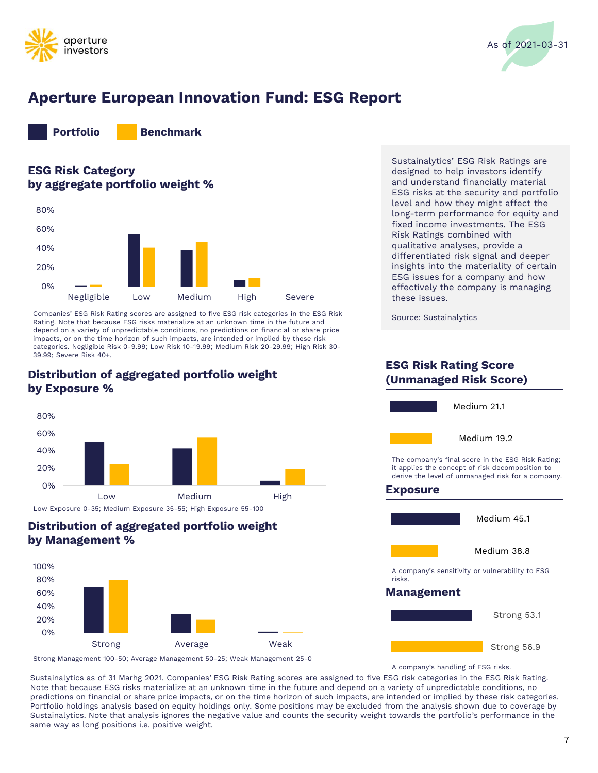



# **Aperture European Innovation Fund: ESG Report**



# **ESG Risk Category by aggregate portfolio weight %**



Companies' ESG Risk Rating scores are assigned to five ESG risk categories in the ESG Risk Rating. Note that because ESG risks materialize at an unknown time in the future and depend on a variety of unpredictable conditions, no predictions on financial or share price impacts, or on the time horizon of such impacts, are intended or implied by these risk categories. Negligible Risk 0-9.99; Low Risk 10-19.99; Medium Risk 20-29.99; High Risk 30- 39.99; Severe Risk 40+.

# **(Unmanaged Risk Score) Distribution of aggregated portfolio weight by Exposure %**



Low Exposure 0-35; Medium Exposure 35-55; High Exposure 55-100

# **Distribution of aggregated portfolio weight by Management %**



Strong Management 100-50; Average Management 50-25; Weak Management 25-0

Sustainalytics' ESG Risk Ratings are designed to help investors identify and understand financially material ESG risks at the security and portfolio level and how they might affect the long-term performance for equity and fixed income investments. The ESG Risk Ratings combined with qualitative analyses, provide a differentiated risk signal and deeper insights into the materiality of certain ESG issues for a company and how effectively the company is managing these issues.

Source: Sustainalytics



A company's handling of ESG risks.

Sustainalytics as of 31 Marhg 2021. Companies' ESG Risk Rating scores are assigned to five ESG risk categories in the ESG Risk Rating. Note that because ESG risks materialize at an unknown time in the future and depend on a variety of unpredictable conditions, no predictions on financial or share price impacts, or on the time horizon of such impacts, are intended or implied by these risk categories. Portfolio holdings analysis based on equity holdings only. Some positions may be excluded from the analysis shown due to coverage by Sustainalytics. Note that analysis ignores the negative value and counts the security weight towards the portfolio's performance in the same way as long positions i.e. positive weight.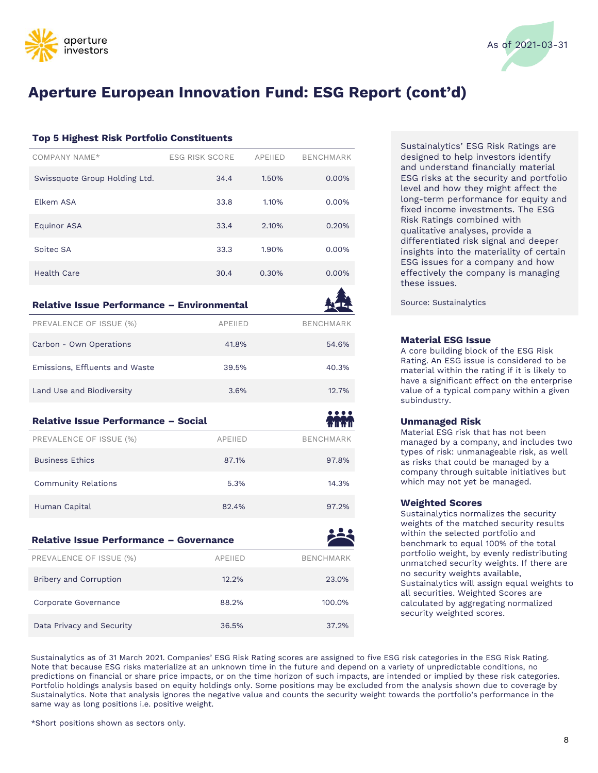



# **Aperture European Innovation Fund: ESG Report (cont'd)**

#### **Top 5 Highest Risk Portfolio Constituents**

| COMPANY NAME*                 | <b>ESG RISK SCORE</b> | <b>APEIIED</b> | <b>BENCHMARK</b> |
|-------------------------------|-----------------------|----------------|------------------|
| Swissquote Group Holding Ltd. | 34.4                  | 1.50%          | $0.00\%$         |
| Flkem ASA                     | 33.8                  | 1.10%          | $0.00\%$         |
| <b>Equinor ASA</b>            | 33.4                  | 2.10%          | 0.20%            |
| Soitec SA                     | 33.3                  | 1.90%          | 0.00%            |
| Health Care                   | 30.4                  | 0.30%          | 0.00%            |

#### **Relative Issue Performance – Environmental**

| PREVALENCE OF ISSUE (%)                    | <b>APEIIED</b> | <b>BENCHMARK</b> |
|--------------------------------------------|----------------|------------------|
| Carbon - Own Operations                    | 41.8%          | 54.6%            |
| Emissions, Effluents and Waste             | 39.5%          | 40.3%            |
| Land Use and Biodiversity                  | 3.6%           | 12.7%            |
| <b>Relative Issue Performance - Social</b> |                |                  |
| PREVALENCE OF ISSUE (%)                    | <b>APEIIED</b> | <b>BENCHMARK</b> |
| <b>Business Ethics</b>                     | 87.1%          | 97.8%            |
| <b>Community Relations</b>                 | 5.3%           | 14.3%            |
| Human Capital                              | 82.4%          | 97.2%            |

| <b>Relative Issue Performance - Governance</b> |                |                  |  |
|------------------------------------------------|----------------|------------------|--|
| PREVALENCE OF ISSUE (%)                        | <b>APEIIED</b> | <b>BENCHMARK</b> |  |
| <b>Bribery and Corruption</b>                  | 12.2%          | 23.0%            |  |
| Corporate Governance                           | 88.2%          | 100.0%           |  |
| Data Privacy and Security                      | 36.5%          | 37.2%            |  |

Sustainalytics' ESG Risk Ratings are designed to help investors identify and understand financially material ESG risks at the security and portfolio level and how they might affect the long-term performance for equity and fixed income investments. The ESG Risk Ratings combined with qualitative analyses, provide a differentiated risk signal and deeper insights into the materiality of certain ESG issues for a company and how effectively the company is managing these issues.

Source: Sustainalytics

#### **Material ESG Issue**

A core building block of the ESG Risk Rating. An ESG issue is considered to be material within the rating if it is likely to have a significant effect on the enterprise value of a typical company within a given subindustry.

#### **Unmanaged Risk**

Material ESG risk that has not been managed by a company, and includes two types of risk: unmanageable risk, as well as risks that could be managed by a company through suitable initiatives but which may not yet be managed.

#### **Weighted Scores**

Sustainalytics normalizes the security weights of the matched security results within the selected portfolio and benchmark to equal 100% of the total portfolio weight, by evenly redistributing unmatched security weights. If there are no security weights available, Sustainalytics will assign equal weights to all securities. Weighted Scores are calculated by aggregating normalized security weighted scores.

Sustainalytics as of 31 March 2021. Companies' ESG Risk Rating scores are assigned to five ESG risk categories in the ESG Risk Rating. Note that because ESG risks materialize at an unknown time in the future and depend on a variety of unpredictable conditions, no predictions on financial or share price impacts, or on the time horizon of such impacts, are intended or implied by these risk categories. Portfolio holdings analysis based on equity holdings only. Some positions may be excluded from the analysis shown due to coverage by Sustainalytics. Note that analysis ignores the negative value and counts the security weight towards the portfolio's performance in the same way as long positions i.e. positive weight.

\*Short positions shown as sectors only.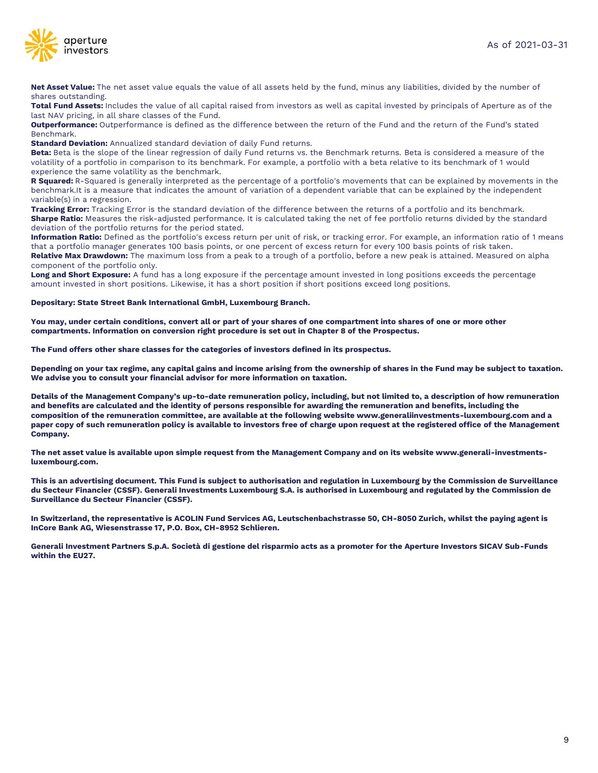

**Net Asset Value:** The net asset value equals the value of all assets held by the fund, minus any liabilities, divided by the number of shares outstanding.

**Total Fund Assets:** Includes the value of all capital raised from investors as well as capital invested by principals of Aperture as of the last NAV pricing, in all share classes of the Fund.

**Outperformance:** Outperformance is defined as the difference between the return of the Fund and the return of the Fund's stated Benchmark.

**Standard Deviation:** Annualized standard deviation of daily Fund returns.

**Beta:** Beta is the slope of the linear regression of daily Fund returns vs. the Benchmark returns. Beta is considered a measure of the volatility of a portfolio in comparison to its benchmark. For example, a portfolio with a beta relative to its benchmark of 1 would experience the same volatility as the benchmark.

**R Squared:** R-Squared is generally interpreted as the percentage of a portfolio's movements that can be explained by movements in the benchmark.It is a measure that indicates the amount of variation of a dependent variable that can be explained by the independent variable(s) in a regression.

**Tracking Error:** Tracking Error is the standard deviation of the difference between the returns of a portfolio and its benchmark. **Sharpe Ratio:** Measures the risk-adjusted performance. It is calculated taking the net of fee portfolio returns divided by the standard deviation of the portfolio returns for the period stated.

**Information Ratio:** Defined as the portfolio's excess return per unit of risk, or tracking error. For example, an information ratio of 1 means that a portfolio manager generates 100 basis points, or one percent of excess return for every 100 basis points of risk taken. **Relative Max Drawdown:** The maximum loss from a peak to a trough of a portfolio, before a new peak is attained. Measured on alpha component of the portfolio only.

**Long and Short Exposure:** A fund has a long exposure if the percentage amount invested in long positions exceeds the percentage amount invested in short positions. Likewise, it has a short position if short positions exceed long positions.

**Depositary: State Street Bank International GmbH, Luxembourg Branch.**

**You may, under certain conditions, convert all or part of your shares of one compartment into shares of one or more other compartments. Information on conversion right procedure is set out in Chapter 8 of the Prospectus.**

**The Fund offers other share classes for the categories of investors defined in its prospectus.**

**Depending on your tax regime, any capital gains and income arising from the ownership of shares in the Fund may be subject to taxation. We advise you to consult your financial advisor for more information on taxation.**

**Details of the Management Company's up-to-date remuneration policy, including, but not limited to, a description of how remuneration and benefits are calculated and the identity of persons responsible for awarding the remuneration and benefits, including the composition of the remuneration committee, are available at the following website www.generaliinvestments-luxembourg.com and a paper copy of such remuneration policy is available to investors free of charge upon request at the registered office of the Management Company.**

**The net asset value is available upon simple request from the Management Company and on its website www.generali-investmentsluxembourg.com.**

**This is an advertising document. This Fund is subject to authorisation and regulation in Luxembourg by the Commission de Surveillance du Secteur Financier (CSSF). Generali Investments Luxembourg S.A. is authorised in Luxembourg and regulated by the Commission de Surveillance du Secteur Financier (CSSF).** 

**In Switzerland, the representative is ACOLIN Fund Services AG, Leutschenbachstrasse 50, CH-8050 Zurich, whilst the paying agent is InCore Bank AG, Wiesenstrasse 17, P.O. Box, CH-8952 Schlieren.** 

**Generali Investment Partners S.p.A. Società di gestione del risparmio acts as a promoter for the Aperture Investors SICAV Sub-Funds within the EU27.**